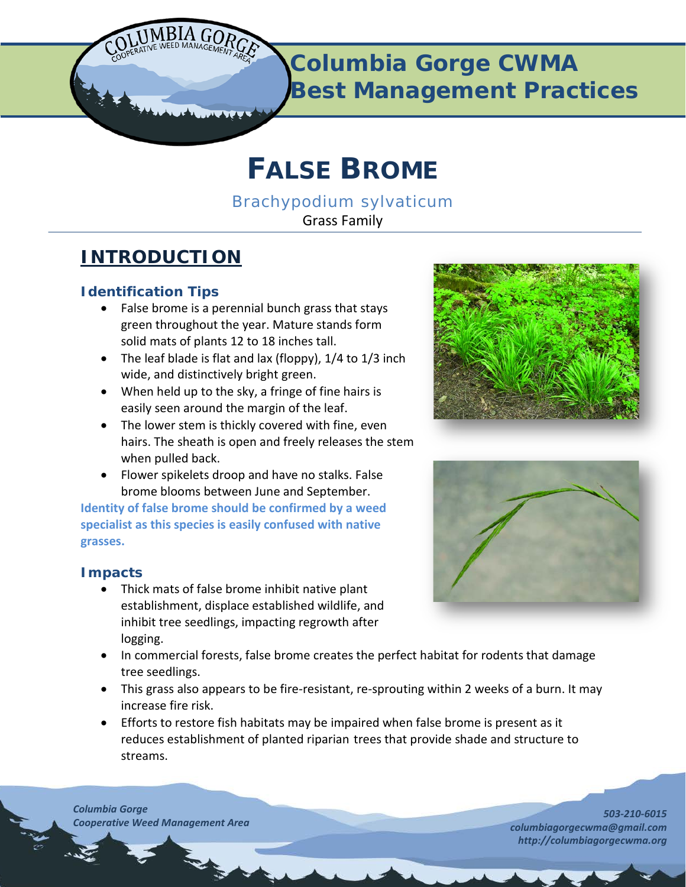

# **FALSE BROME**

*Brachypodium sylvaticum* Grass Family

# **INTRODUCTION**

# **Identification Tips**

- False brome is a perennial bunch grass that stays green throughout the year. Mature stands form solid mats of plants 12 to 18 inches tall.
- The leaf blade is flat and lax (floppy), 1/4 to 1/3 inch wide, and distinctively bright green.
- When held up to the sky, a fringe of fine hairs is easily seen around the margin of the leaf.
- The lower stem is thickly covered with fine, even hairs. The sheath is open and freely releases the stem when pulled back.
- Flower spikelets droop and have no stalks. False brome blooms between June and September.

**Identity of false brome should be confirmed by a weed specialist as this species is easily confused with native grasses.**

# **Impacts**

- Thick mats of false brome inhibit native plant establishment, displace established wildlife, and inhibit tree seedlings, impacting regrowth after logging.
- In commercial forests, false brome creates the perfect habitat for rodents that damage tree seedlings.
- This grass also appears to be fire-resistant, re-sprouting within 2 weeks of a burn. It may increase fire risk.
- Efforts to restore fish habitats may be impaired when false brome is present as it reduces establishment of planted riparian trees that provide shade and structure to streams.

*Columbia Gorge Cooperative Weed Management Area*





*503-210-6015 columbiagorgecwma@gmail.com http://columbiagorgecwma.org*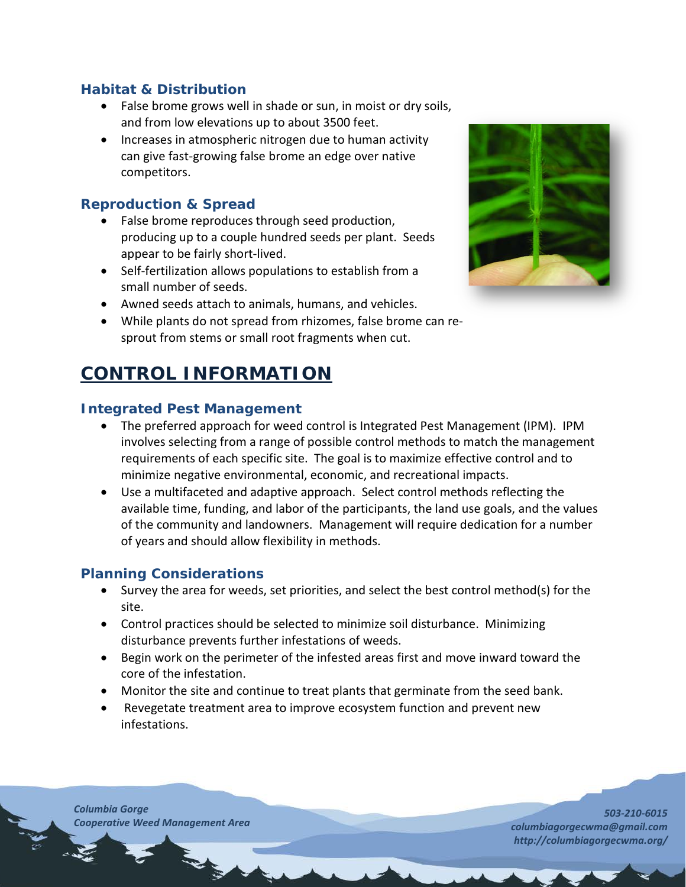### **Habitat & Distribution**

- False brome grows well in shade or sun, in moist or dry soils, and from low elevations up to about 3500 feet.
- Increases in atmospheric nitrogen due to human activity can give fast-growing false brome an edge over native competitors.

#### **Reproduction & Spread**

- False brome reproduces through seed production, producing up to a couple hundred seeds per plant. Seeds appear to be fairly short-lived.
- Self-fertilization allows populations to establish from a small number of seeds.
- Awned seeds attach to animals, humans, and vehicles.
- While plants do not spread from rhizomes, false brome can resprout from stems or small root fragments when cut.

# **CONTROL INFORMATION**

#### **Integrated Pest Management**

- The preferred approach for weed control is Integrated Pest Management (IPM). IPM involves selecting from a range of possible control methods to match the management requirements of each specific site. The goal is to maximize effective control and to minimize negative environmental, economic, and recreational impacts.
- Use a multifaceted and adaptive approach. Select control methods reflecting the available time, funding, and labor of the participants, the land use goals, and the values of the community and landowners. Management will require dedication for a number of years and should allow flexibility in methods.

#### **Planning Considerations**

- Survey the area for weeds, set priorities, and select the best control method(s) for the site.
- Control practices should be selected to minimize soil disturbance. Minimizing disturbance prevents further infestations of weeds.
- Begin work on the perimeter of the infested areas first and move inward toward the core of the infestation.
- Monitor the site and continue to treat plants that germinate from the seed bank.
- Revegetate treatment area to improve ecosystem function and prevent new infestations.

*Columbia Gorge Cooperative Weed Management Area*



*503-210-6015 columbiagorgecwma@gmail.com http://columbiagorgecwma.org/*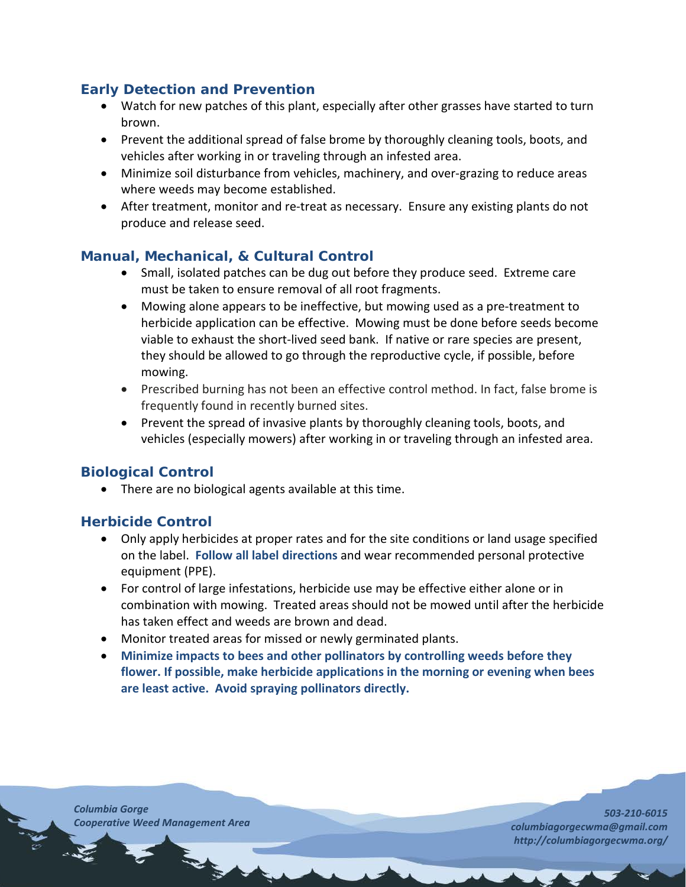# **Early Detection and Prevention**

- Watch for new patches of this plant, especially after other grasses have started to turn brown.
- Prevent the additional spread of false brome by thoroughly cleaning tools, boots, and vehicles after working in or traveling through an infested area.
- Minimize soil disturbance from vehicles, machinery, and over-grazing to reduce areas where weeds may become established.
- After treatment, monitor and re-treat as necessary. Ensure any existing plants do not produce and release seed.

# **Manual, Mechanical, & Cultural Control**

- Small, isolated patches can be dug out before they produce seed. Extreme care must be taken to ensure removal of all root fragments.
- Mowing alone appears to be ineffective, but mowing used as a pre-treatment to herbicide application can be effective. Mowing must be done before seeds become viable to exhaust the short-lived seed bank. If native or rare species are present, they should be allowed to go through the reproductive cycle, if possible, before mowing.
- Prescribed burning has not been an effective control method. In fact, false brome is frequently found in recently burned sites.
- Prevent the spread of invasive plants by thoroughly cleaning tools, boots, and vehicles (especially mowers) after working in or traveling through an infested area.

# **Biological Control**

• There are no biological agents available at this time.

# **Herbicide Control**

- Only apply herbicides at proper rates and for the site conditions or land usage specified on the label. **Follow all label directions** and wear recommended personal protective equipment (PPE).
- For control of large infestations, herbicide use may be effective either alone or in combination with mowing. Treated areas should not be mowed until after the herbicide has taken effect and weeds are brown and dead.
- Monitor treated areas for missed or newly germinated plants.
- **Minimize impacts to bees and other pollinators by controlling weeds before they flower. If possible, make herbicide applications in the morning or evening when bees are least active. Avoid spraying pollinators directly.**

*Columbia Gorge Cooperative Weed Management Area*

*503-210-6015 columbiagorgecwma@gmail.com http://columbiagorgecwma.org/*